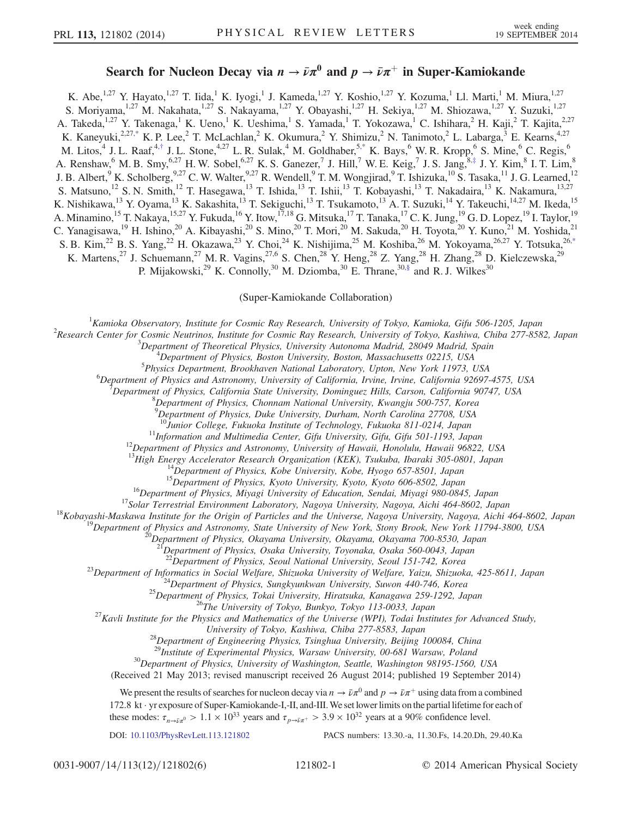## Search for Nucleon Decay via  $n \to \bar{\nu}\pi^0$  and  $p \to \bar{\nu}\pi^+$  in Super-Kamiokande

<span id="page-0-2"></span><span id="page-0-1"></span>K. Abe,<sup>1,27</sup> Y. Hayato,<sup>1,27</sup> T. Iida,<sup>1</sup> K. Iyogi,<sup>1</sup> J. Kameda,<sup>1,27</sup> Y. Koshio,<sup>1,27</sup> Y. Kozuma,<sup>1</sup> Ll. Marti,<sup>1</sup> M. Miura,<sup>1,27</sup> S. Moriyama,<sup>1,27</sup> M. Nakahata,<sup>1,27</sup> S. Nakayama,<sup>1,27</sup> Y. Obayashi,<sup>1,27</sup> H. Sekiya,<sup>1,27</sup> M. Shiozawa,<sup>1,27</sup> Y. Suzuki,<sup>1,27</sup> A. Takeda,<sup>1,27</sup> Y. Takenaga,<sup>1</sup> K. Ueno,<sup>1</sup> K. Ueshima,<sup>1</sup> S. Yamada,<sup>1</sup> T. Yokozawa,<sup>1</sup> C. Ishihara,<sup>2</sup> H. Kaji,<sup>2</sup> T. Kajita,<sup>2,27</sup> K. Kaneyuki,<sup>2,2[7,\\*](#page-5-0)</sup> K. P. Lee,<sup>2</sup> T. McLachlan,<sup>2</sup> K. Okumura,<sup>2</sup> Y. Shimizu,<sup>2</sup> N. Tanimoto,<sup>2</sup> L. Labarga,<sup>3</sup> E. Kearns,<sup>4,27</sup> M. Litos,<sup>4</sup> J. L. Raaf,<sup>4,[†](#page-5-1)</sup> J. L. Stone,<sup>4,27</sup> L. R. Sulak,<sup>4</sup> M. Goldhaber,<sup>5[,\\*](#page-5-0)</sup> K. Bays,<sup>6</sup> W. R. Kropp,<sup>6</sup> S. Mine,<sup>6</sup> C. Regis,<sup>6</sup> A. Renshaw,  $6$  M. B. Smy,  $6.27$  H. W. Sobel,  $6.27$  K. S. Ganezer,  $7$  J. Hill,  $7$  W. E. Keig,  $7$  J. S. Jang,  $8.$ [‡](#page-5-2) J. Y. Kim,  $8$  I. T. Lim,  $8$ J. B. Albert,  $9$  K. Scholberg,  $9.27$  C. W. Walter,  $9.27$  R. Wendell,  $9$  T. M. Wongjirad,  $9$  T. Ishizuka,  $^{10}$  S. Tasaka,  $^{11}$  J. G. Learned,  $^{12}$ S. Matsuno,<sup>12</sup> S. N. Smith,<sup>12</sup> T. Hasegawa,<sup>13</sup> T. Ishida,<sup>13</sup> T. Ishii,<sup>13</sup> T. Kobayashi,<sup>13</sup> T. Nakadaira,<sup>13</sup> K. Nakamura,<sup>13,27</sup> K. Nishikawa,<sup>13</sup> Y. Oyama,<sup>13</sup> K. Sakashita,<sup>13</sup> T. Sekiguchi,<sup>13</sup> T. Tsukamoto,<sup>13</sup> A. T. Suzuki,<sup>14</sup> Y. Takeuchi,<sup>14,27</sup> M. Ikeda,<sup>15</sup> A. Minamino,<sup>15</sup> T. Nakaya,<sup>15,27</sup> Y. Fukuda,<sup>16</sup> Y. Itow,<sup>17,18</sup> G. Mitsuka,<sup>17</sup> T. Tanaka,<sup>17</sup> C. K. Jung,<sup>19</sup> G. D. Lopez,<sup>19</sup> I. Taylor,<sup>19</sup> C. Yanagisawa,<sup>19</sup> H. Ishino,<sup>20</sup> A. Kibayashi,<sup>20</sup> S. Mino,<sup>20</sup> T. Mori,<sup>20</sup> M. Sakuda,<sup>20</sup> H. Toyota,<sup>20</sup> Y. Kuno,<sup>21</sup> M. Yoshida,<sup>21</sup> S. B. Kim,<sup>22</sup> B. S. Yang,<sup>22</sup> H. Okazawa,<sup>23</sup> Y. Choi,<sup>24</sup> K. Nishijima,<sup>25</sup> M. Koshiba,<sup>26</sup> M. Yokoyama,<sup>26,27</sup> Y. Totsuka,<sup>26[,\\*](#page-5-0)</sup> K. Martens,<sup>27</sup> J. Schuemann,<sup>27</sup> M. R. Vagins,<sup>27,6</sup> S. Chen,<sup>28</sup> Y. Heng,<sup>28</sup> Z. Yang,<sup>28</sup> H. Zhang,<sup>28</sup> D. Kielczewska,<sup>29</sup> P. Mijakowski,<sup>29</sup> K. Connolly,<sup>30</sup> M. Dziomba,<sup>30</sup> E. Thrane,<sup>3[0,§](#page-5-3)</sup> and R. J. Wilkes<sup>30</sup>

(Super-Kamiokande Collaboration)

<span id="page-0-3"></span><span id="page-0-0"></span><sup>1</sup> Kamioka Observatory, Institute for Cosmic Ray Research, University of Tokyo, Kamioka, Gifu 506-1205, Japan <sup>2</sup> Pescarah Cantas for Cosmic Nautrinos, Institute for Cosmic Ray Research, University of Tokyo, Kaphiya, Chib

<sup>2</sup>Research Center for Cosmic Neutrinos, Institute for Cosmic Ray Research, University of Tokyo, Kashiwa, Chiba 277-8582, Japan

 $3$ Department of Theoretical Physics, University Autonoma Madrid, 28049 Madrid, Spain

 $^{4}$ Department of Physics, Boston University, Boston, Massachusetts 02215, USA <sup>5</sup>Physics Department, Brookhaven National Laboratory, Upton, New York 11973, USA

<sup>6</sup>Department of Physics and Astronomy, University of California, Irvine, Irvine, California 92697-4575, USA

Department of Physics, California State University, Dominguez Hills, Carson, California 90747, USA <sup>8</sup>

Department of Physics, Chonnam National University, Kwangju 500-757, Korea<br><sup>9</sup>Department of Physics, Duke University, Durham, North Carolina 27708, USA

<sup>10</sup>Junior College, Fukuoka Institute of Technology, Fukuoka 811-0214, Japan<br><sup>11</sup>Information and Multimedia Center, Gifu University, Gifu, Gifu 501-1193, Japan<br><sup>12</sup>Department of Physics and Astronomy, University of Hawaii

<sup>14</sup>Department of Physics, Kobe University, Kobe, Hyogo 657-8501, Japan<br><sup>15</sup>Department of Physics, Kyoto University, Kyoto, Kyoto 606-8502, Japan<br><sup>16</sup>Department of Physics, Miyagi University of Education, Sendai, Miyagi 9

Department of Physics, Osaka University, Toyonaka, Osaka 560-0043, Japan<br><sup>22</sup>Department of Physics, Seoul National University, Seoul 151-742, Korea

<sup>23</sup>Department of Informatics in Social Welfare, Shizuoka University of Welfare, Yaizu, Shizuoka, 425-8611, Japan<br><sup>24</sup>Department of Physics, Sungkyunkwan University, Suwon 440-746, Korea<br><sup>25</sup>Department of Physics, Tokai U

<sup>28</sup>Department of Engineering Physics, Tsinghua University, Beijing 100084, China <sup>29</sup>Institute of Experimental Physics, Warsaw University, 00-681 Warsaw, Poland

 $30$ Department of Physics, University of Washington, Seattle, Washington 98195-1560, USA

(Received 21 May 2013; revised manuscript received 26 August 2014; published 19 September 2014)

We present the results of searches for nucleon decay via  $n \to \bar{\nu} \pi^0$  and  $p \to \bar{\nu} \pi^+$  using data from a combined 172.8 kt · yr exposure of Super-Kamiokande-I,-II, and-III.We set lower limits on the partial lifetime for each of these modes:  $\tau_{n\to \bar{\nu} \pi^0} > 1.1 \times 10^{33}$  years and  $\tau_{n\to \bar{\nu} \pi^+} > 3.9 \times 10^{32}$  years at a 90% confidence level.

DOI: [10.1103/PhysRevLett.113.121802](http://dx.doi.org/10.1103/PhysRevLett.113.121802) PACS numbers: 13.30.-a, 11.30.Fs, 14.20.Dh, 29.40.Ka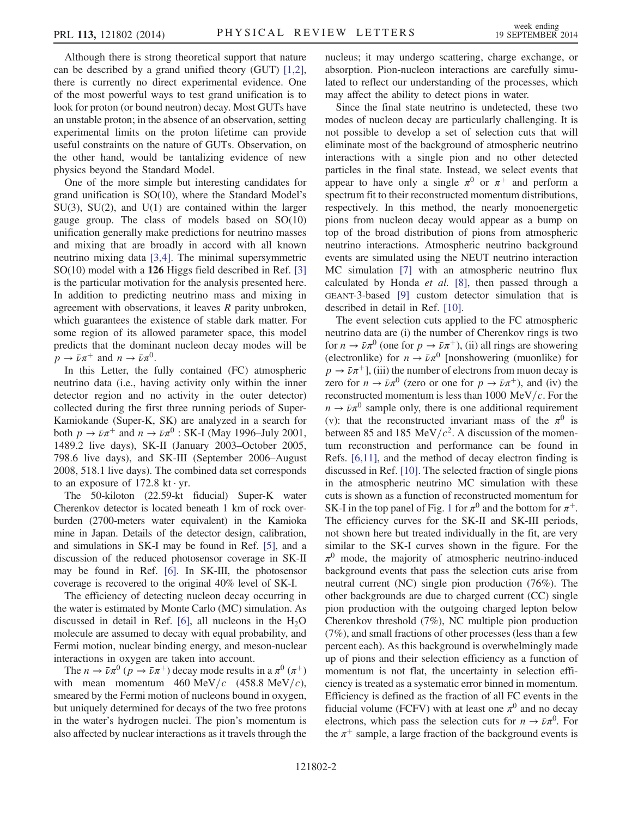Although there is strong theoretical support that nature can be described by a grand unified theory (GUT) [\[1,2\]](#page-5-4), there is currently no direct experimental evidence. One of the most powerful ways to test grand unification is to look for proton (or bound neutron) decay. Most GUTs have an unstable proton; in the absence of an observation, setting experimental limits on the proton lifetime can provide useful constraints on the nature of GUTs. Observation, on the other hand, would be tantalizing evidence of new physics beyond the Standard Model.

One of the more simple but interesting candidates for grand unification is SO(10), where the Standard Model's  $SU(3)$ ,  $SU(2)$ , and  $U(1)$  are contained within the larger gauge group. The class of models based on SO(10) unification generally make predictions for neutrino masses and mixing that are broadly in accord with all known neutrino mixing data [\[3,4\]](#page-5-5). The minimal supersymmetric SO(10) model with a 126 Higgs field described in Ref. [\[3\]](#page-5-5) is the particular motivation for the analysis presented here. In addition to predicting neutrino mass and mixing in agreement with observations, it leaves R parity unbroken, which guarantees the existence of stable dark matter. For some region of its allowed parameter space, this model predicts that the dominant nucleon decay modes will be  $p \to \bar{\nu}\pi^+$  and  $n \to \bar{\nu}\pi^0$ .

In this Letter, the fully contained (FC) atmospheric neutrino data (i.e., having activity only within the inner detector region and no activity in the outer detector) collected during the first three running periods of Super-Kamiokande (Super-K, SK) are analyzed in a search for both  $p \to \bar{\nu} \pi^+$  and  $n \to \bar{\nu} \pi^0$  : SK-I (May 1996–July 2001, 1489.2 live days), SK-II (January 2003–October 2005, 798.6 live days), and SK-III (September 2006–August 2008, 518.1 live days). The combined data set corresponds to an exposure of  $172.8 \text{ kt} \cdot \text{yr}$ .

The 50-kiloton (22.59-kt fiducial) Super-K water Cherenkov detector is located beneath 1 km of rock overburden (2700-meters water equivalent) in the Kamioka mine in Japan. Details of the detector design, calibration, and simulations in SK-I may be found in Ref. [\[5\],](#page-5-6) and a discussion of the reduced photosensor coverage in SK-II may be found in Ref. [\[6\].](#page-5-7) In SK-III, the photosensor coverage is recovered to the original 40% level of SK-I.

The efficiency of detecting nucleon decay occurring in the water is estimated by Monte Carlo (MC) simulation. As discussed in detail in Ref. [\[6\],](#page-5-7) all nucleons in the  $H_2O$ molecule are assumed to decay with equal probability, and Fermi motion, nuclear binding energy, and meson-nuclear interactions in oxygen are taken into account.

The  $n \to \bar{\nu}\pi^0$  ( $p \to \bar{\nu}\pi^+$ ) decay mode results in a  $\pi^0$  ( $\pi^+$ ) with mean momentum 460 MeV/c (458.8 MeV/c), smeared by the Fermi motion of nucleons bound in oxygen, but uniquely determined for decays of the two free protons in the water's hydrogen nuclei. The pion's momentum is also affected by nuclear interactions as it travels through the nucleus; it may undergo scattering, charge exchange, or absorption. Pion-nucleon interactions are carefully simulated to reflect our understanding of the processes, which may affect the ability to detect pions in water.

Since the final state neutrino is undetected, these two modes of nucleon decay are particularly challenging. It is not possible to develop a set of selection cuts that will eliminate most of the background of atmospheric neutrino interactions with a single pion and no other detected particles in the final state. Instead, we select events that appear to have only a single  $\pi^0$  or  $\pi^+$  and perform a spectrum fit to their reconstructed momentum distributions, respectively. In this method, the nearly monoenergetic pions from nucleon decay would appear as a bump on top of the broad distribution of pions from atmospheric neutrino interactions. Atmospheric neutrino background events are simulated using the NEUT neutrino interaction MC simulation [\[7\]](#page-5-8) with an atmospheric neutrino flux calculated by Honda et al. [\[8\],](#page-5-9) then passed through a GEANT-3-based [\[9\]](#page-5-10) custom detector simulation that is described in detail in Ref. [\[10\]](#page-5-11).

The event selection cuts applied to the FC atmospheric neutrino data are (i) the number of Cherenkov rings is two for  $n \to \bar{\nu}\pi^0$  (one for  $p \to \bar{\nu}\pi^+$ ), (ii) all rings are showering (electronlike) for  $n \to \bar{\nu}\pi^0$  [nonshowering (muonlike) for  $p \rightarrow \bar{\nu} \pi^{+}$ , (iii) the number of electrons from muon decay is zero for  $n \to \bar{\nu}\pi^0$  (zero or one for  $p \to \bar{\nu}\pi^+$ ), and (iv) the reconstructed momentum is less than 1000 MeV/ $c$ . For the  $n \to \bar{\nu} \pi^0$  sample only, there is one additional requirement (v): that the reconstructed invariant mass of the  $\pi^0$  is between 85 and 185 MeV/ $c^2$ . A discussion of the momentum reconstruction and performance can be found in Refs. [\[6,11\]](#page-5-7), and the method of decay electron finding is discussed in Ref. [\[10\]](#page-5-11). The selected fraction of single pions in the atmospheric neutrino MC simulation with these cuts is shown as a function of reconstructed momentum for SK-I in the top panel of Fig. [1](#page-2-0) for  $\pi^0$  and the bottom for  $\pi^+$ . The efficiency curves for the SK-II and SK-III periods, not shown here but treated individually in the fit, are very similar to the SK-I curves shown in the figure. For the  $\pi^0$  mode, the majority of atmospheric neutrino-induced background events that pass the selection cuts arise from neutral current (NC) single pion production (76%). The other backgrounds are due to charged current (CC) single pion production with the outgoing charged lepton below Cherenkov threshold (7%), NC multiple pion production (7%), and small fractions of other processes (less than a few percent each). As this background is overwhelmingly made up of pions and their selection efficiency as a function of momentum is not flat, the uncertainty in selection efficiency is treated as a systematic error binned in momentum. Efficiency is defined as the fraction of all FC events in the fiducial volume (FCFV) with at least one  $\pi^0$  and no decay electrons, which pass the selection cuts for  $n \to \bar{\nu} \pi^0$ . For the  $\pi^+$  sample, a large fraction of the background events is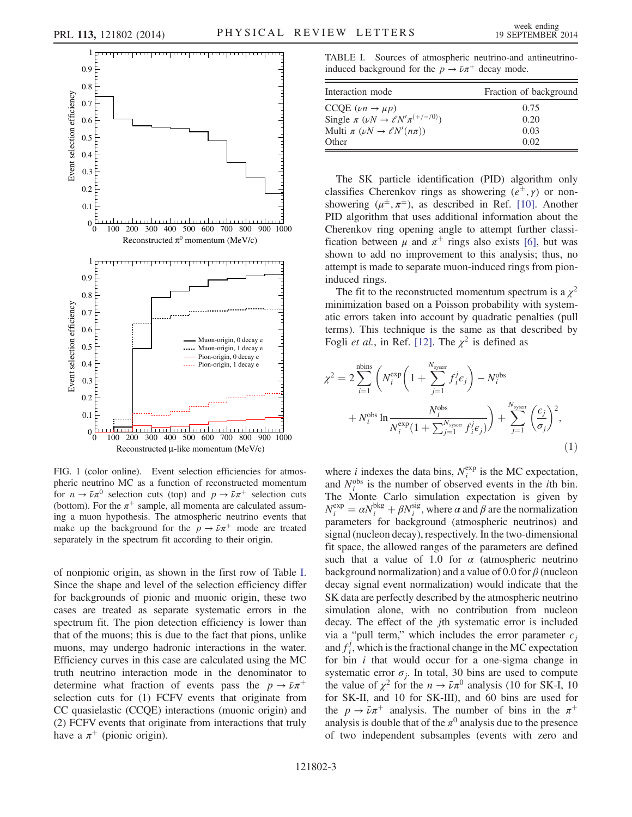<span id="page-2-0"></span>

FIG. 1 (color online). Event selection efficiencies for atmospheric neutrino MC as a function of reconstructed momentum for  $n \to \bar{\nu}\pi^0$  selection cuts (top) and  $p \to \bar{\nu}\pi^+$  selection cuts (bottom). For the  $\pi^+$  sample, all momenta are calculated assuming a muon hypothesis. The atmospheric neutrino events that make up the background for the  $p \to \bar{\nu} \pi^{+}$  mode are treated separately in the spectrum fit according to their origin.

of nonpionic origin, as shown in the first row of Table [I](#page-2-1). Since the shape and level of the selection efficiency differ for backgrounds of pionic and muonic origin, these two cases are treated as separate systematic errors in the spectrum fit. The pion detection efficiency is lower than that of the muons; this is due to the fact that pions, unlike muons, may undergo hadronic interactions in the water. Efficiency curves in this case are calculated using the MC truth neutrino interaction mode in the denominator to determine what fraction of events pass the  $p \rightarrow \bar{\nu} \pi^{+}$ selection cuts for (1) FCFV events that originate from CC quasielastic (CCQE) interactions (muonic origin) and (2) FCFV events that originate from interactions that truly have a  $\pi^+$  (pionic origin).

<span id="page-2-1"></span>TABLE I. Sources of atmospheric neutrino-and antineutrinoinduced background for the  $p \to \bar{\nu} \pi^{+}$  decay mode.

| Interaction mode                                           | Fraction of background |
|------------------------------------------------------------|------------------------|
| $CCQE$ $(\nu n \rightarrow \mu p)$                         | 0.75                   |
| Single $\pi$ ( $\nu N \rightarrow \ell N' \pi^{(+/-/0)}$ ) | 0.20                   |
| Multi $\pi$ ( $\nu N \rightarrow \ell N'(n\pi)$ )          | 0.03                   |
| Other                                                      | 0.02                   |

The SK particle identification (PID) algorithm only classifies Cherenkov rings as showering  $(e^{\pm}, \gamma)$  or nonshowering  $(\mu^{\pm}, \pi^{\pm})$ , as described in Ref. [\[10\]](#page-5-11). Another PID algorithm that uses additional information about the Cherenkov ring opening angle to attempt further classification between  $\mu$  and  $\pi^{\pm}$  rings also exists [\[6\],](#page-5-7) but was shown to add no improvement to this analysis; thus, no attempt is made to separate muon-induced rings from pioninduced rings.

The fit to the reconstructed momentum spectrum is a  $\chi^2$ minimization based on a Poisson probability with systematic errors taken into account by quadratic penalties (pull terms). This technique is the same as that described by Fogli *et al.*, in Ref. [\[12\].](#page-5-12) The  $\chi^2$  is defined as

<span id="page-2-2"></span>
$$
\chi^{2} = 2 \sum_{i=1}^{\text{nbins}} \left( N_{i}^{\text{exp}} \left( 1 + \sum_{j=1}^{N_{\text{system}}} f_{i}^{j} \epsilon_{j} \right) - N_{i}^{\text{obs}} + N_{i}^{\text{obs}} \ln \frac{N_{i}^{\text{obs}}}{N_{i}^{\text{exp}} \left( 1 + \sum_{j=1}^{N_{\text{system}}} f_{i}^{j} \epsilon_{j} \right)} \right) + \sum_{j=1}^{N_{\text{system}}} \left( \frac{\epsilon_{j}}{\sigma_{j}} \right)^{2}, \tag{1}
$$

where *i* indexes the data bins,  $N_i^{\text{exp}}$  is the MC expectation, and  $N_i^{obs}$  is the number of observed events in the *i*th bin. The Monte Carlo simulation expectation is given by  $N_i^{\text{exp}} = \alpha N_i^{\text{bkg}} + \beta N_i^{\text{sig}}$ , where  $\alpha$  and  $\beta$  are the normalization parameters for background (atmospheric neutrinos) and signal (nucleon decay), respectively. In the two-dimensional fit space, the allowed ranges of the parameters are defined such that a value of 1.0 for  $\alpha$  (atmospheric neutrino background normalization) and a value of 0.0 for  $\beta$  (nucleon decay signal event normalization) would indicate that the SK data are perfectly described by the atmospheric neutrino simulation alone, with no contribution from nucleon decay. The effect of the jth systematic error is included via a "pull term," which includes the error parameter  $\epsilon_i$ and  $f_i^j$ , which is the fractional change in the MC expectation for bin  $i$  that would occur for a one-sigma change in systematic error  $\sigma_i$ . In total, 30 bins are used to compute the value of  $\chi^2$  for the  $n \to \bar{\nu} \pi^0$  analysis (10 for SK-I, 10 for SK-II, and 10 for SK-III), and 60 bins are used for the  $p \rightarrow \bar{\nu}\pi^{+}$  analysis. The number of bins in the  $\pi^{+}$ analysis is double that of the  $\pi^0$  analysis due to the presence of two independent subsamples (events with zero and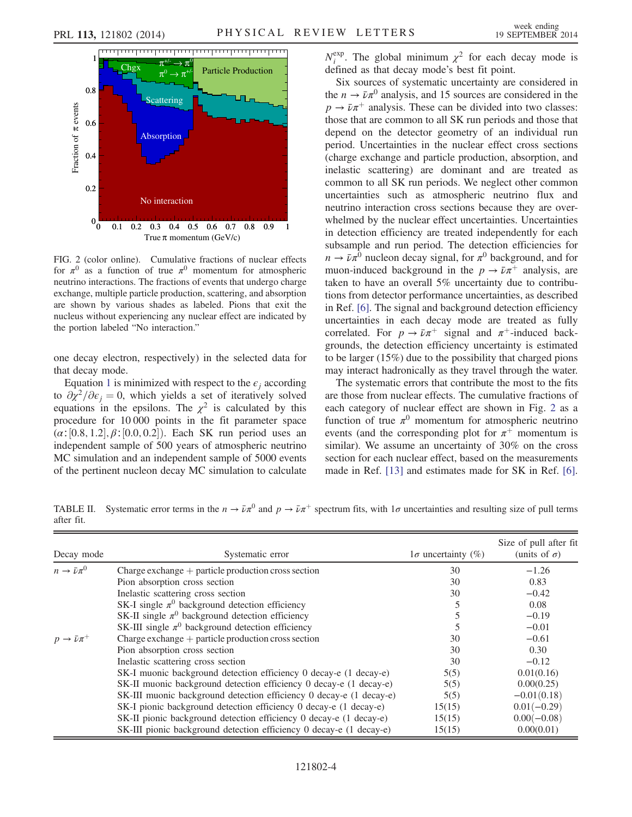<span id="page-3-0"></span>

FIG. 2 (color online). Cumulative fractions of nuclear effects for  $\pi^0$  as a function of true  $\pi^0$  momentum for atmospheric neutrino interactions. The fractions of events that undergo charge exchange, multiple particle production, scattering, and absorption are shown by various shades as labeled. Pions that exit the nucleus without experiencing any nuclear effect are indicated by the portion labeled "No interaction."

one decay electron, respectively) in the selected data for that decay mode.

Equation [1](#page-2-2) is minimized with respect to the  $\epsilon_i$  according to  $\partial \chi^2/\partial \epsilon_i = 0$ , which yields a set of iteratively solved equations in the epsilons. The  $\chi^2$  is calculated by this procedure for 10 000 points in the fit parameter space  $(\alpha; [0.8, 1.2], \beta; [0.0, 0.2])$ . Each SK run period uses an independent sample of 500 years of atmospheric neutrino MC simulation and an independent sample of 5000 events of the pertinent nucleon decay MC simulation to calculate

 $N_i^{\text{exp}}$ . The global minimum  $\chi^2$  for each decay mode is defined as that decay mode's best fit point.

Six sources of systematic uncertainty are considered in the  $n \to \bar{\nu}\pi^0$  analysis, and 15 sources are considered in the  $p \rightarrow \bar{\nu} \pi^{+}$  analysis. These can be divided into two classes: those that are common to all SK run periods and those that depend on the detector geometry of an individual run period. Uncertainties in the nuclear effect cross sections (charge exchange and particle production, absorption, and inelastic scattering) are dominant and are treated as common to all SK run periods. We neglect other common uncertainties such as atmospheric neutrino flux and neutrino interaction cross sections because they are overwhelmed by the nuclear effect uncertainties. Uncertainties in detection efficiency are treated independently for each subsample and run period. The detection efficiencies for  $n \to \bar{\nu} \pi^0$  nucleon decay signal, for  $\pi^0$  background, and for muon-induced background in the  $p \to \bar{\nu} \pi^{+}$  analysis, are taken to have an overall 5% uncertainty due to contributions from detector performance uncertainties, as described in Ref. [\[6\].](#page-5-7) The signal and background detection efficiency uncertainties in each decay mode are treated as fully correlated. For  $p \to \bar{\nu}\pi^{+}$  signal and  $\pi^{+}$ -induced backgrounds, the detection efficiency uncertainty is estimated to be larger (15%) due to the possibility that charged pions may interact hadronically as they travel through the water.

The systematic errors that contribute the most to the fits are those from nuclear effects. The cumulative fractions of each category of nuclear effect are shown in Fig. [2](#page-3-0) as a function of true  $\pi^0$  momentum for atmospheric neutrino events (and the corresponding plot for  $\pi^+$  momentum is similar). We assume an uncertainty of 30% on the cross section for each nuclear effect, based on the measurements made in Ref. [\[13\]](#page-5-13) and estimates made for SK in Ref. [\[6\]](#page-5-7).

<span id="page-3-1"></span>TABLE II. Systematic error terms in the  $n \to \bar{\nu} \pi^0$  and  $p \to \bar{\nu} \pi^+$  spectrum fits, with  $1\sigma$  uncertainties and resulting size of pull terms after fit.

| Decay mode              | Systematic error                                                    | $1\sigma$ uncertainty (%) | Size of pull after fit<br>(units of $\sigma$ ) |  |
|-------------------------|---------------------------------------------------------------------|---------------------------|------------------------------------------------|--|
| $n \to \bar{\nu} \pi^0$ | Charge exchange $+$ particle production cross section               | 30                        | $-1.26$                                        |  |
|                         | Pion absorption cross section                                       | 30                        | 0.83                                           |  |
|                         | Inelastic scattering cross section                                  | 30                        | $-0.42$                                        |  |
|                         | SK-I single $\pi^0$ background detection efficiency                 |                           | 0.08                                           |  |
|                         | SK-II single $\pi^0$ background detection efficiency                |                           | $-0.19$                                        |  |
|                         | SK-III single $\pi^0$ background detection efficiency               |                           | $-0.01$                                        |  |
| $p \to \bar{\nu} \pi^+$ | Charge exchange $+$ particle production cross section               | 30                        | $-0.61$                                        |  |
|                         | Pion absorption cross section                                       | 30                        | 0.30                                           |  |
|                         | Inelastic scattering cross section                                  | 30                        | $-0.12$                                        |  |
|                         | SK-I muonic background detection efficiency 0 decay-e (1 decay-e)   | 5(5)                      | 0.01(0.16)                                     |  |
|                         | SK-II muonic background detection efficiency 0 decay-e (1 decay-e)  | 5(5)                      | 0.00(0.25)                                     |  |
|                         | SK-III muonic background detection efficiency 0 decay-e (1 decay-e) | 5(5)                      | $-0.01(0.18)$                                  |  |
|                         | SK-I pionic background detection efficiency 0 decay-e (1 decay-e)   | 15(15)                    | $0.01(-0.29)$                                  |  |
|                         | SK-II pionic background detection efficiency 0 decay-e (1 decay-e)  | 15(15)                    | $0.00(-0.08)$                                  |  |
|                         | SK-III pionic background detection efficiency 0 decay-e (1 decay-e) | 15(15)                    | 0.00(0.01)                                     |  |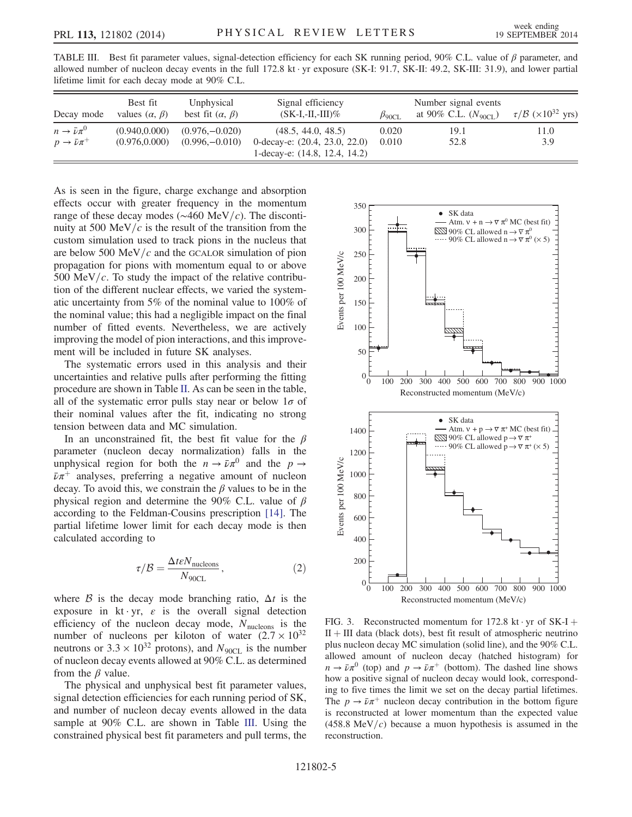<span id="page-4-0"></span>TABLE III. Best fit parameter values, signal-detection efficiency for each SK running period, 90% C.L. value of  $\beta$  parameter, and allowed number of nucleon decay events in the full 172.8 kt · yr exposure (SK-I: 91.7, SK-II: 49.2, SK-III: 31.9), and lower partial lifetime limit for each decay mode at 90% C.L.

| Decay mode                                         | Best fit<br>values $(\alpha, \beta)$ | Unphysical<br>best fit $(\alpha, \beta)$ | Signal efficiency<br>$(SK-I, -II, -III)\%$          | $\beta_{90\text{CI}}$ . | Number signal events<br>at 90% C.L. $(N_{90CL})$ | $\tau/B$ (×10 <sup>32</sup> yrs) |
|----------------------------------------------------|--------------------------------------|------------------------------------------|-----------------------------------------------------|-------------------------|--------------------------------------------------|----------------------------------|
| $n \to \bar{\nu} \pi^0$<br>$p \to \bar{\nu} \pi^+$ | (0.940.0.000)<br>(0.976, 0.000)      | $(0.976,-0.020)$<br>$(0.996,-0.010)$     | (48.5, 44.0, 48.5)<br>0-decay-e: (20.4, 23.0, 22.0) | 0.020<br>0.010          | 19.1<br>52.8                                     | 11.0<br>3.9                      |
|                                                    |                                      |                                          | 1-decay-e: (14.8, 12.4, 14.2)                       |                         |                                                  |                                  |

As is seen in the figure, charge exchange and absorption effects occur with greater frequency in the momentum range of these decay modes ( $\sim$ 460 MeV/c). The discontinuity at 500 MeV/ $c$  is the result of the transition from the custom simulation used to track pions in the nucleus that are below 500 MeV/ $c$  and the GCALOR simulation of pion propagation for pions with momentum equal to or above 500 MeV/ $c$ . To study the impact of the relative contribution of the different nuclear effects, we varied the systematic uncertainty from 5% of the nominal value to 100% of the nominal value; this had a negligible impact on the final number of fitted events. Nevertheless, we are actively improving the model of pion interactions, and this improvement will be included in future SK analyses.

The systematic errors used in this analysis and their uncertainties and relative pulls after performing the fitting procedure are shown in Table [II.](#page-3-1) As can be seen in the table, all of the systematic error pulls stay near or below  $1\sigma$  of their nominal values after the fit, indicating no strong tension between data and MC simulation.

In an unconstrained fit, the best fit value for the  $\beta$ parameter (nucleon decay normalization) falls in the unphysical region for both the  $n \to \bar{\nu} \pi^0$  and the  $p \to$  $\bar{\nu}\pi^{+}$  analyses, preferring a negative amount of nucleon decay. To avoid this, we constrain the  $\beta$  values to be in the physical region and determine the 90% C.L. value of  $\beta$ according to the Feldman-Cousins prescription [\[14\]](#page-5-14). The partial lifetime lower limit for each decay mode is then calculated according to

$$
\tau/\mathcal{B} = \frac{\Delta t \varepsilon N_{\text{nucleons}}}{N_{90 \text{CL}}},\tag{2}
$$

where  $\beta$  is the decay mode branching ratio,  $\Delta t$  is the exposure in kt · yr,  $\varepsilon$  is the overall signal detection efficiency of the nucleon decay mode,  $N_{\text{nucleons}}$  is the number of nucleons per kiloton of water  $(2.7 \times 10^{32})$ neutrons or  $3.3 \times 10^{32}$  protons), and  $N_{90CL}$  is the number of nucleon decay events allowed at 90% C.L. as determined from the  $\beta$  value.

The physical and unphysical best fit parameter values, signal detection efficiencies for each running period of SK, and number of nucleon decay events allowed in the data sample at 90% C.L. are shown in Table [III.](#page-4-0) Using the constrained physical best fit parameters and pull terms, the

<span id="page-4-1"></span>

FIG. 3. Reconstructed momentum for 172.8 kt · yr of  $SK-I$  $II + III$  data (black dots), best fit result of atmospheric neutrino plus nucleon decay MC simulation (solid line), and the 90% C.L. allowed amount of nucleon decay (hatched histogram) for  $n \to \bar{\nu} \pi^0$  (top) and  $p \to \bar{\nu} \pi^+$  (bottom). The dashed line shows how a positive signal of nucleon decay would look, corresponding to five times the limit we set on the decay partial lifetimes. The  $p \rightarrow \bar{\nu} \pi^{+}$  nucleon decay contribution in the bottom figure is reconstructed at lower momentum than the expected value  $(458.8 \text{ MeV}/c)$  because a muon hypothesis is assumed in the reconstruction.